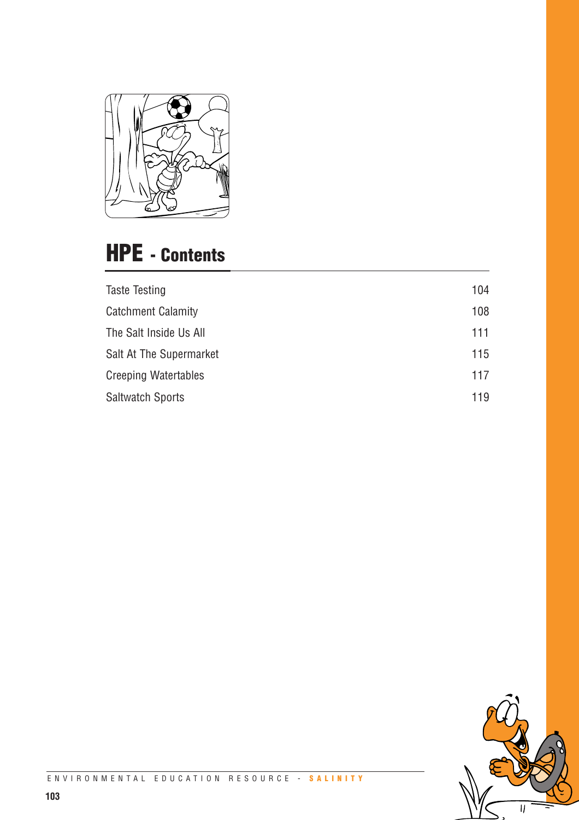

# **HPE - Contents**

| <b>Taste Testing</b>        | 104 |
|-----------------------------|-----|
| <b>Catchment Calamity</b>   | 108 |
| The Salt Inside Us All      | 111 |
| Salt At The Supermarket     | 115 |
| <b>Creeping Watertables</b> | 117 |
| <b>Saltwatch Sports</b>     | 119 |
|                             |     |

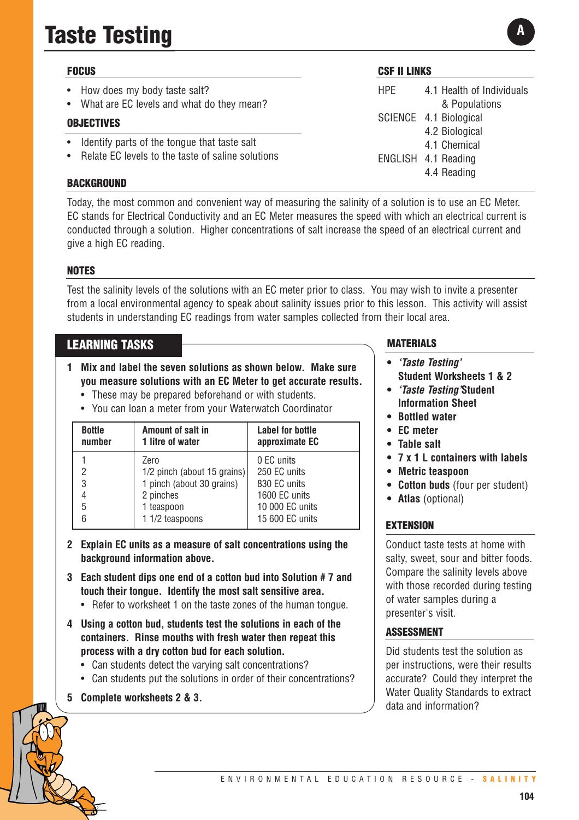# **Taste Testing**

## **FOCUS**

- How does my body taste salt?
- What are EC levels and what do they mean?

## **OBJECTIVES**

- Identify parts of the tongue that taste salt
- Relate EC levels to the taste of saline solutions

## **BACKGROUND**

Today, the most common and convenient way of measuring the salinity of a solution is to use an EC Meter. EC stands for Electrical Conductivity and an EC Meter measures the speed with which an electrical current is conducted through a solution. Higher concentrations of salt increase the speed of an electrical current and give a high EC reading.

## **NOTES**

Test the salinity levels of the solutions with an EC meter prior to class. You may wish to invite a presenter from a local environmental agency to speak about salinity issues prior to this lesson. This activity will assist students in understanding EC readings from water samples collected from their local area.

## **LEARNING TASKS**

- **1 Mix and label the seven solutions as shown below. Make sure you measure solutions with an EC Meter to get accurate results.**
	- These may be prepared beforehand or with students.
	- You can loan a meter from your Waterwatch Coordinator

| <b>Bottle</b><br>number | Amount of salt in<br>1 litre of water | <b>Label for bottle</b><br>approximate EC |
|-------------------------|---------------------------------------|-------------------------------------------|
|                         | Zero                                  | 0 EC units                                |
| 2                       | $1/2$ pinch (about 15 grains)         | 250 EC units                              |
| 3                       | 1 pinch (about 30 grains)             | 830 EC units                              |
| 4                       | 2 pinches                             | 1600 EC units                             |
| 5                       | 1 teaspoon                            | 10 000 EC units                           |
| 6                       | 1 1/2 teaspoons                       | 15 600 EC units                           |

- **2 Explain EC units as a measure of salt concentrations using the background information above.**
- **3 Each student dips one end of a cotton bud into Solution # 7 and touch their tongue. Identify the most salt sensitive area.**
	- Refer to worksheet 1 on the taste zones of the human tongue.
- **4 Using a cotton bud, students test the solutions in each of the containers. Rinse mouths with fresh water then repeat this process with a dry cotton bud for each solution.** 
	- Can students detect the varying salt concentrations?
	- Can students put the solutions in order of their concentrations?
- **5 Complete worksheets 2 & 3.**

## **CSF II LINKS**

HPE 4.1 Health of Individuals & Populations SCIENCE 4.1 Biological 4.2 Biological 4.1 Chemical ENGLISH 4.1 Reading 4.4 Reading

## **MATERIALS**

- **•** *'Taste Testing'* **Student Worksheets 1 & 2**
- **•** *'Taste Testing'***Student Information Sheet**
- **• Bottled water**
- **• EC meter**
- **Table salt**
- **7 x 1 L containers with labels**
- **• Metric teaspoon**
- **• Cotton buds** (four per student)
- **• Atlas** (optional)

## **EXTENSION**

Conduct taste tests at home with salty, sweet, sour and bitter foods. Compare the salinity levels above with those recorded during testing of water samples during a presenter's visit.

## **ASSESSMENT**

Did students test the solution as per instructions, were their results accurate? Could they interpret the Water Quality Standards to extract data and information?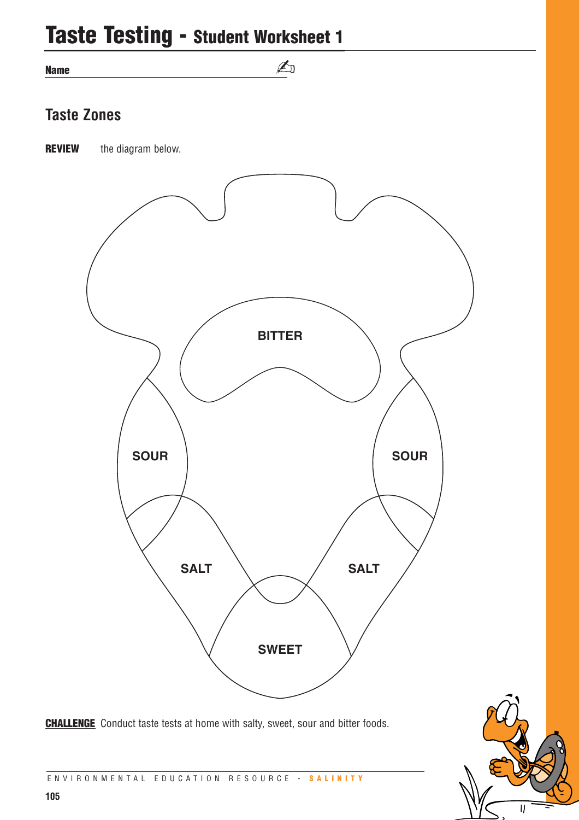## **Taste Testing - Student Worksheet 1**

**Name**

## **Taste Zones**

**REVIEW** the diagram below.



✍

**CHALLENGE** Conduct taste tests at home with salty, sweet, sour and bitter foods.



ENVIRONMENTAL EDUCATION RESOURCE - **SALINITY**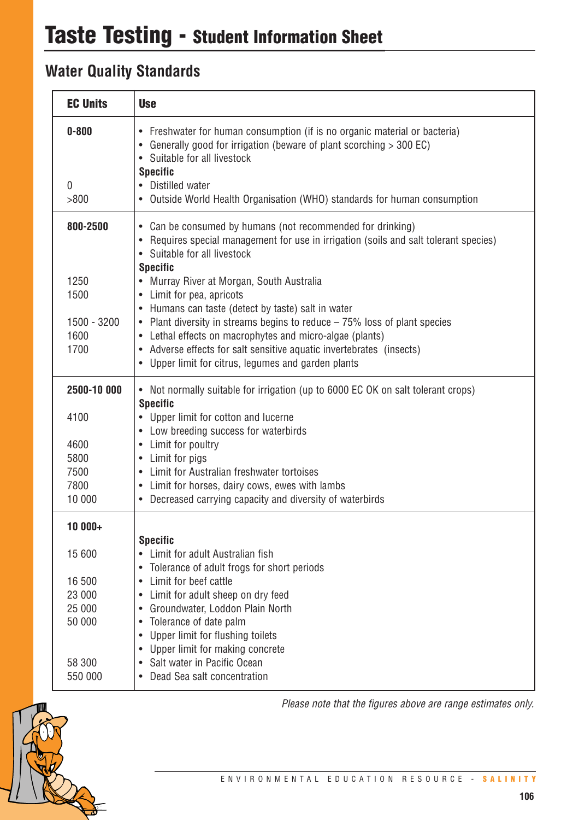## **Water Quality Standards**

| <b>EC Units</b>                  | <b>Use</b>                                                                                                                                                                                                                                                                                              |
|----------------------------------|---------------------------------------------------------------------------------------------------------------------------------------------------------------------------------------------------------------------------------------------------------------------------------------------------------|
| $0 - 800$<br>$\mathbf 0$<br>>800 | • Freshwater for human consumption (if is no organic material or bacteria)<br>• Generally good for irrigation (beware of plant scorching > 300 EC)<br>• Suitable for all livestock<br><b>Specific</b><br>• Distilled water<br>• Outside World Health Organisation (WHO) standards for human consumption |
| 800-2500                         | • Can be consumed by humans (not recommended for drinking)<br>Requires special management for use in irrigation (soils and salt tolerant species)<br>• Suitable for all livestock<br><b>Specific</b>                                                                                                    |
| 1250                             | Murray River at Morgan, South Australia<br>$\bullet$                                                                                                                                                                                                                                                    |
| 1500                             | • Limit for pea, apricots<br>• Humans can taste (detect by taste) salt in water                                                                                                                                                                                                                         |
| 1500 - 3200                      | • Plant diversity in streams begins to reduce – 75% loss of plant species                                                                                                                                                                                                                               |
| 1600                             | • Lethal effects on macrophytes and micro-algae (plants)                                                                                                                                                                                                                                                |
| 1700                             | • Adverse effects for salt sensitive aquatic invertebrates (insects)<br>• Upper limit for citrus, legumes and garden plants                                                                                                                                                                             |
| 2500-10 000                      | • Not normally suitable for irrigation (up to 6000 EC OK on salt tolerant crops)<br><b>Specific</b>                                                                                                                                                                                                     |
| 4100                             | • Upper limit for cotton and lucerne                                                                                                                                                                                                                                                                    |
| 4600                             | • Low breeding success for waterbirds<br>Limit for poultry<br>$\bullet$                                                                                                                                                                                                                                 |
| 5800                             | • Limit for pigs                                                                                                                                                                                                                                                                                        |
| 7500                             | • Limit for Australian freshwater tortoises                                                                                                                                                                                                                                                             |
| 7800<br>10 000                   | • Limit for horses, dairy cows, ewes with lambs                                                                                                                                                                                                                                                         |
|                                  | • Decreased carrying capacity and diversity of waterbirds                                                                                                                                                                                                                                               |
| 10 000+                          |                                                                                                                                                                                                                                                                                                         |
| 15 600                           | <b>Specific</b><br>Limit for adult Australian fish<br>Tolerance of adult frogs for short periods<br>$\bullet$                                                                                                                                                                                           |
| 16 500                           | Limit for beef cattle<br>$\bullet$                                                                                                                                                                                                                                                                      |
| 23 000                           | Limit for adult sheep on dry feed                                                                                                                                                                                                                                                                       |
| 25 000                           | Groundwater, Loddon Plain North<br>$\bullet$                                                                                                                                                                                                                                                            |
| 50 000                           | Tolerance of date palm<br>Upper limit for flushing toilets                                                                                                                                                                                                                                              |
|                                  | Upper limit for making concrete<br>$\bullet$                                                                                                                                                                                                                                                            |
| 58 300                           | • Salt water in Pacific Ocean                                                                                                                                                                                                                                                                           |
| 550 000                          | • Dead Sea salt concentration                                                                                                                                                                                                                                                                           |



*Please note that the figures above are range estimates only.*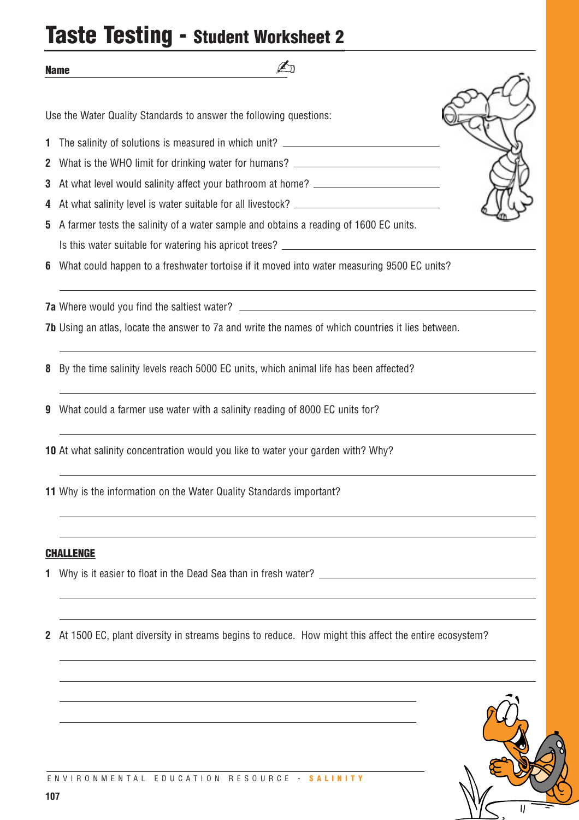## **Taste Testing - Student Worksheet 2**

✍

Use the Water Quality Standards to answer the following questions:

- **1** The salinity of solutions is measured in which unit?
- **2** What is the WHO limit for drinking water for humans?
- **3** At what level would salinity affect your bathroom at home?
- **4** At what salinity level is water suitable for all livestock?
- **5** A farmer tests the salinity of a water sample and obtains a reading of 1600 EC units. Is this water suitable for watering his apricot trees?
- **6** What could happen to a freshwater tortoise if it moved into water measuring 9500 EC units?

**7a** Where would you find the saltiest water?

**7b** Using an atlas, locate the answer to 7a and write the names of which countries it lies between.

**8** By the time salinity levels reach 5000 EC units, which animal life has been affected?

- **9** What could a farmer use water with a salinity reading of 8000 EC units for?
- **10** At what salinity concentration would you like to water your garden with? Why?

**11** Why is the information on the Water Quality Standards important?

#### **CHALLENGE**

**Name**

**1** Why is it easier to float in the Dead Sea than in fresh water?

**2** At 1500 EC, plant diversity in streams begins to reduce. How might this affect the entire ecosystem?

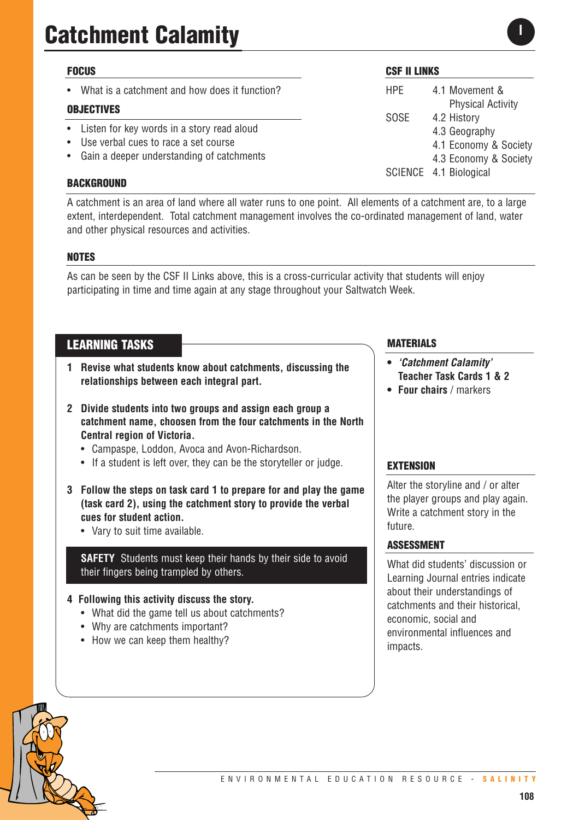## **FOCUS**

What is a catchment and how does it function?

## **OBJECTIVES**

- Listen for key words in a story read aloud
- Use verbal cues to race a set course
- Gain a deeper understanding of catchments

#### **BACKGROUND**

## **CSF II LINKS**

HPE 4.1 Movement & Physical Activity SOSE 4.2 History 4.3 Geography 4.1 Economy & Society 4.3 Economy & Society SCIENCE 4.1 Biological

**I**

A catchment is an area of land where all water runs to one point. All elements of a catchment are, to a large extent, interdependent. Total catchment management involves the co-ordinated management of land, water and other physical resources and activities.

## **NOTES**

As can be seen by the CSF II Links above, this is a cross-curricular activity that students will enjoy participating in time and time again at any stage throughout your Saltwatch Week.

## **LEARNING TASKS**

- **1 Revise what students know about catchments, discussing the relationships between each integral part.**
- **2 Divide students into two groups and assign each group a catchment name, choosen from the four catchments in the North Central region of Victoria.** 
	- Campaspe, Loddon, Avoca and Avon-Richardson.
	- If a student is left over, they can be the storyteller or judge.
- **3 Follow the steps on task card 1 to prepare for and play the game (task card 2), using the catchment story to provide the verbal cues for student action.**
	- Vary to suit time available.

**SAFETY** Students must keep their hands by their side to avoid their fingers being trampled by others.

## **4 Following this activity discuss the story.**

- What did the game tell us about catchments?
- Why are catchments important?
- How we can keep them healthy?

## **MATERIALS**

- **•** *'Catchment Calamity'* **Teacher Task Cards 1 & 2**
- **• Four chairs** / markers

## **EXTENSION**

Alter the storyline and / or alter the player groups and play again. Write a catchment story in the future.

#### **ASSESSMENT**

What did students' discussion or Learning Journal entries indicate about their understandings of catchments and their historical, economic, social and environmental influences and impacts.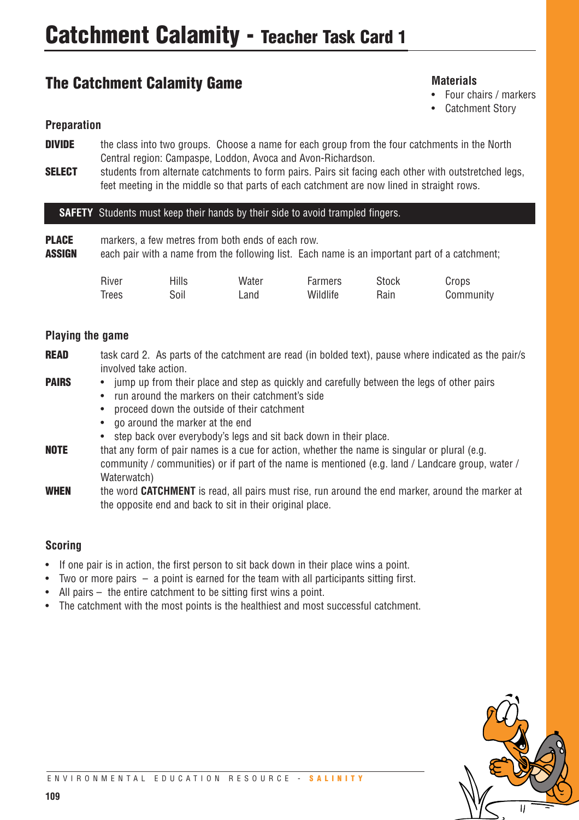## **The Catchment Calamity Game**

## **Materials**

- Four chairs / markers
- Catchment Story

## **Preparation**

- **DIVIDE** the class into two groups. Choose a name for each group from the four catchments in the North Central region: Campaspe, Loddon, Avoca and Avon-Richardson.
- **SELECT** students from alternate catchments to form pairs. Pairs sit facing each other with outstretched legs, feet meeting in the middle so that parts of each catchment are now lined in straight rows.

## **SAFETY** Students must keep their hands by their side to avoid trampled fingers.

**PLACE** markers, a few metres from both ends of each row. **ASSIGN** each pair with a name from the following list. Each name is an important part of a catchment;

| River        | <b>Hills</b> | Water | Farmers  | <b>Stock</b> | Crops     |
|--------------|--------------|-------|----------|--------------|-----------|
| <b>Trees</b> | Soil         | Land  | Wildlife | Rain         | Community |

## **Playing the game**

- **READ** task card 2. As parts of the catchment are read (in bolded text), pause where indicated as the pair/s involved take action.
- **PAIRS** jump up from their place and step as quickly and carefully between the legs of other pairs
	- run around the markers on their catchment's side
	- proceed down the outside of their catchment
	- go around the marker at the end
	- step back over everybody's legs and sit back down in their place.
- **NOTE** that any form of pair names is a cue for action, whether the name is singular or plural (e.g. community / communities) or if part of the name is mentioned (e.g. land / Landcare group, water / Waterwatch)
- **WHEN** the word **CATCHMENT** is read, all pairs must rise, run around the end marker, around the marker at the opposite end and back to sit in their original place.

## **Scoring**

- If one pair is in action, the first person to sit back down in their place wins a point.
- Two or more pairs a point is earned for the team with all participants sitting first.
- All pairs  $-$  the entire catchment to be sitting first wins a point.
- The catchment with the most points is the healthiest and most successful catchment.

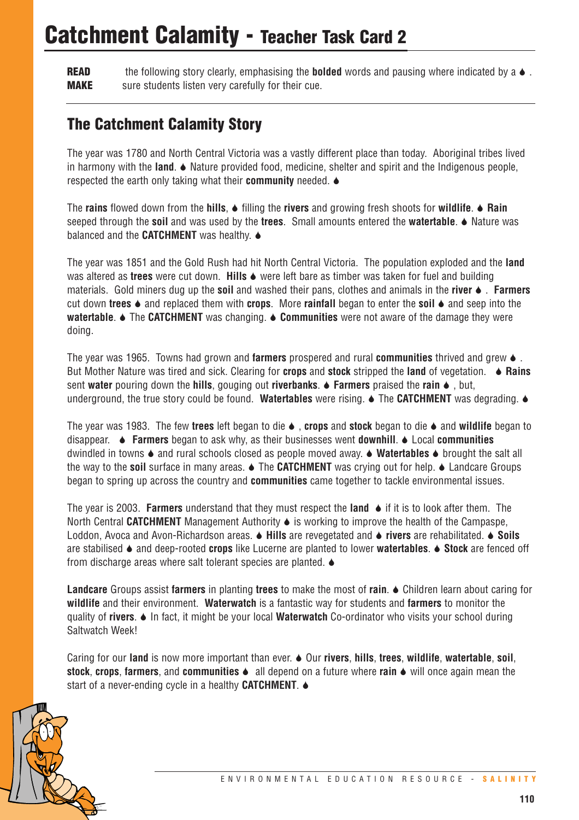## **Catchment Calamity - Teacher Task Card 2**

**READ** the following story clearly, emphasising the **bolded** words and pausing where indicated by a  $\bullet$ . **MAKE** sure students listen very carefully for their cue.

## **The Catchment Calamity Story**

The year was 1780 and North Central Victoria was a vastly different place than today. Aboriginal tribes lived in harmony with the **land**. 6 Nature provided food, medicine, shelter and spirit and the Indigenous people, respected the earth only taking what their **community** needed. 6

The **rains** flowed down from the **hills**, 6 filling the **rivers** and growing fresh shoots for **wildlife**. 6 **Rain** seeped through the **soil** and was used by the **trees**. Small amounts entered the **watertable**. 6 Nature was balanced and the **CATCHMENT** was healthy.  $\bullet$ 

The year was 1851 and the Gold Rush had hit North Central Victoria. The population exploded and the **land** was altered as **trees** were cut down. **Hills**  $\bullet$  were left bare as timber was taken for fuel and building materials. Gold miners dug up the **soil** and washed their pans, clothes and animals in the **river** 6 . **Farmers** cut down **trees** 6 and replaced them with **crops**. More **rainfall** began to enter the **soil** 6 and seep into the **watertable.**  $\blacklozenge$  The **CATCHMENT** was changing.  $\blacklozenge$  **Communities** were not aware of the damage they were doing.

The year was 1965. Towns had grown and **farmers** prospered and rural **communities** thrived and grew 6 . But Mother Nature was tired and sick. Clearing for **crops** and **stock** stripped the **land** of vegetation. 6 **Rains** sent **water** pouring down the **hills**, gouging out **riverbanks**. 6 **Farmers** praised the **rain** 6 , but, underground, the true story could be found. Watertables were rising.  $\bullet$  The **CATCHMENT** was degrading.  $\bullet$ 

The year was 1983. The few **trees** left began to die 6 , **crops** and **stock** began to die 6 and **wildlife** began to disappear. 6 **Farmers** began to ask why, as their businesses went **downhill**. 6 Local **communities** dwindled in towns 6 and rural schools closed as people moved away. 6 **Watertables** 6 brought the salt all the way to the **soil** surface in many areas. ♦ The **CATCHMENT** was crying out for help. ♦ Landcare Groups began to spring up across the country and **communities** came together to tackle environmental issues.

The year is 2003. **Farmers** understand that they must respect the **land** 6 if it is to look after them. The North Central CATCHMENT Management Authority  $\bullet$  is working to improve the health of the Campaspe, Loddon, Avoca and Avon-Richardson areas. 6 **Hills** are revegetated and 6 **rivers** are rehabilitated. 6 **Soils** are stabilised 6 and deep-rooted **crops** like Lucerne are planted to lower **watertables**. 6 **Stock** are fenced off from discharge areas where salt tolerant species are planted.  $\bullet$ 

**Landcare** Groups assist **farmers** in planting **trees** to make the most of **rain**. 6 Children learn about caring for **wildlife** and their environment. **Waterwatch** is a fantastic way for students and **farmers** to monitor the quality of **rivers**. 6 In fact, it might be your local **Waterwatch** Co-ordinator who visits your school during Saltwatch Week!

Caring for our **land** is now more important than ever. 6 Our **rivers**, **hills**, **trees**, **wildlife**, **watertable**, **soil**, **stock, crops, farmers,** and **communities**  $\bullet$  all depend on a future where **rain**  $\bullet$  will once again mean the start of a never-ending cycle in a healthy **CATCHMENT**.  $\triangle$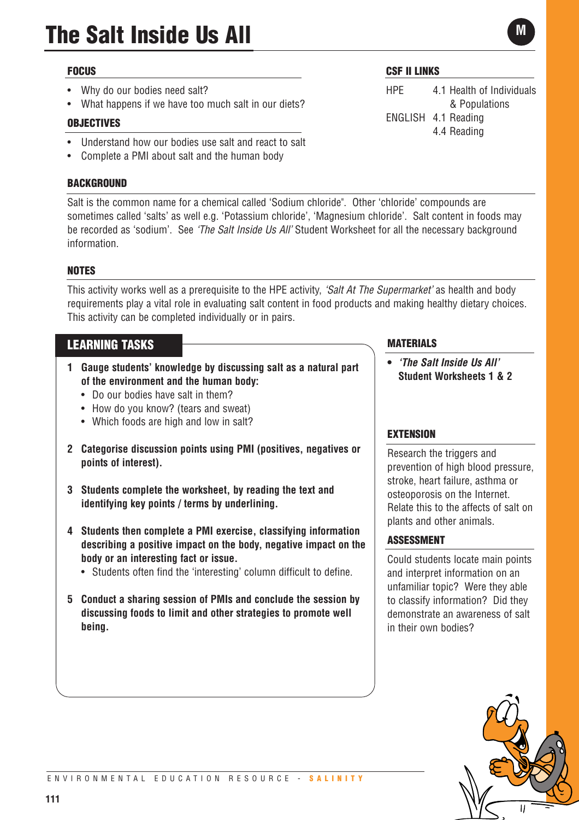## **FOCUS**

- Why do our bodies need salt?
- What happens if we have too much salt in our diets?

## **OBJECTIVES**

- Understand how our bodies use salt and react to salt
- Complete a PMI about salt and the human body

## **BACKGROUND**

Salt is the common name for a chemical called 'Sodium chloride". Other 'chloride' compounds are sometimes called 'salts' as well e.g. 'Potassium chloride', 'Magnesium chloride'. Salt content in foods may be recorded as 'sodium'. See *'The Salt Inside Us All'* Student Worksheet for all the necessary background information.

## **NOTES**

This activity works well as a prerequisite to the HPE activity, *'Salt At The Supermarket'* as health and body requirements play a vital role in evaluating salt content in food products and making healthy dietary choices. This activity can be completed individually or in pairs.

## **LEARNING TASKS**

- **1 Gauge students' knowledge by discussing salt as a natural part of the environment and the human body:**
	- Do our bodies have salt in them?
	- How do you know? (tears and sweat)
	- Which foods are high and low in salt?
- **2 Categorise discussion points using PMI (positives, negatives or points of interest).**
- **3 Students complete the worksheet, by reading the text and identifying key points / terms by underlining.**
- **4 Students then complete a PMI exercise, classifying information describing a positive impact on the body, negative impact on the body or an interesting fact or issue.** 
	- Students often find the 'interesting' column difficult to define.
- **5 Conduct a sharing session of PMIs and conclude the session by discussing foods to limit and other strategies to promote well being.**

## **CSF II LINKS**

HPE 4.1 Health of Individuals & Populations ENGLISH 4.1 Reading 4.4 Reading

## **MATERIALS**

**•** *'The Salt Inside Us All'*  **Student Worksheets 1 & 2**

## **EXTENSION**

Research the triggers and prevention of high blood pressure, stroke, heart failure, asthma or osteoporosis on the Internet. Relate this to the affects of salt on plants and other animals.

## **ASSESSMENT**

Could students locate main points and interpret information on an unfamiliar topic? Were they able to classify information? Did they demonstrate an awareness of salt in their own bodies?



**M**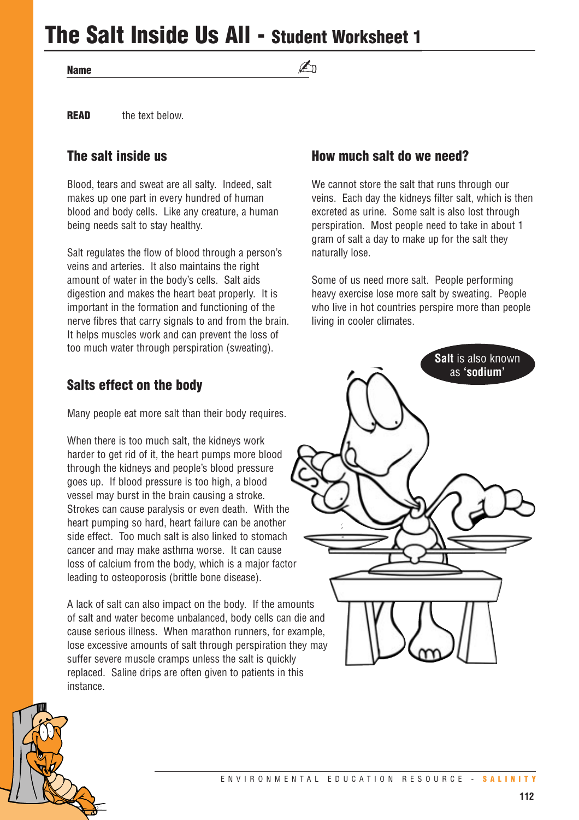**The Salt Inside Us All - Student Worksheet 1**

**Name**

## ✍

**READ** the text below.

## **The salt inside us**

Blood, tears and sweat are all salty. Indeed, salt makes up one part in every hundred of human blood and body cells. Like any creature, a human being needs salt to stay healthy.

Salt regulates the flow of blood through a person's veins and arteries. It also maintains the right amount of water in the body's cells. Salt aids digestion and makes the heart beat properly. It is important in the formation and functioning of the nerve fibres that carry signals to and from the brain. It helps muscles work and can prevent the loss of too much water through perspiration (sweating).

## **Salts effect on the body**

Many people eat more salt than their body requires.

When there is too much salt, the kidneys work harder to get rid of it, the heart pumps more blood through the kidneys and people's blood pressure goes up. If blood pressure is too high, a blood vessel may burst in the brain causing a stroke. Strokes can cause paralysis or even death. With the heart pumping so hard, heart failure can be another side effect. Too much salt is also linked to stomach cancer and may make asthma worse. It can cause loss of calcium from the body, which is a major factor leading to osteoporosis (brittle bone disease).

A lack of salt can also impact on the body. If the amounts of salt and water become unbalanced, body cells can die and cause serious illness. When marathon runners, for example, lose excessive amounts of salt through perspiration they may suffer severe muscle cramps unless the salt is quickly replaced. Saline drips are often given to patients in this instance.

## **How much salt do we need?**

We cannot store the salt that runs through our veins. Each day the kidneys filter salt, which is then excreted as urine. Some salt is also lost through perspiration. Most people need to take in about 1 gram of salt a day to make up for the salt they naturally lose.

Some of us need more salt. People performing heavy exercise lose more salt by sweating. People who live in hot countries perspire more than people living in cooler climates.

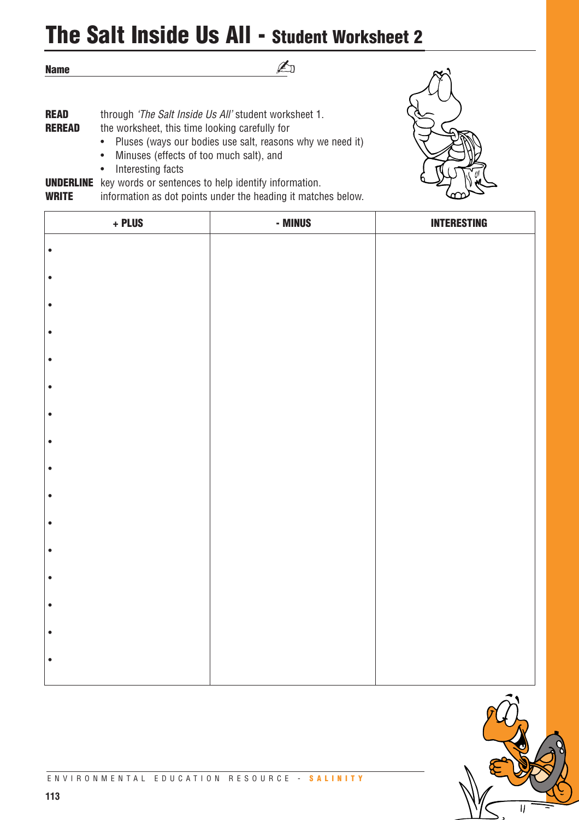# **The Salt Inside Us All - Student Worksheet 2**

✍

**Name**

**READ** through *'The Salt Inside Us All'* student worksheet 1. **REREAD** the worksheet, this time looking carefully for • Pluses (ways our bodies use salt, reasons why we need it)

- Minuses (effects of too much salt), and
- Interesting facts

**UNDERLINE** key words or sentences to help identify information.

**WRITE** information as dot points under the heading it matches below.

| + PLUS    | - MINUS | <b>INTERESTING</b> |
|-----------|---------|--------------------|
| $\bullet$ |         |                    |
| $\bullet$ |         |                    |
|           |         |                    |
| $\bullet$ |         |                    |
| $\bullet$ |         |                    |
| $\bullet$ |         |                    |
| $\bullet$ |         |                    |
|           |         |                    |
| $\bullet$ |         |                    |
| $\bullet$ |         |                    |
| $\bullet$ |         |                    |
| $\bullet$ |         |                    |
|           |         |                    |
| $\bullet$ |         |                    |
| $\bullet$ |         |                    |
| $\bullet$ |         |                    |
| $\bullet$ |         |                    |
| $\bullet$ |         |                    |
|           |         |                    |
| $\bullet$ |         |                    |

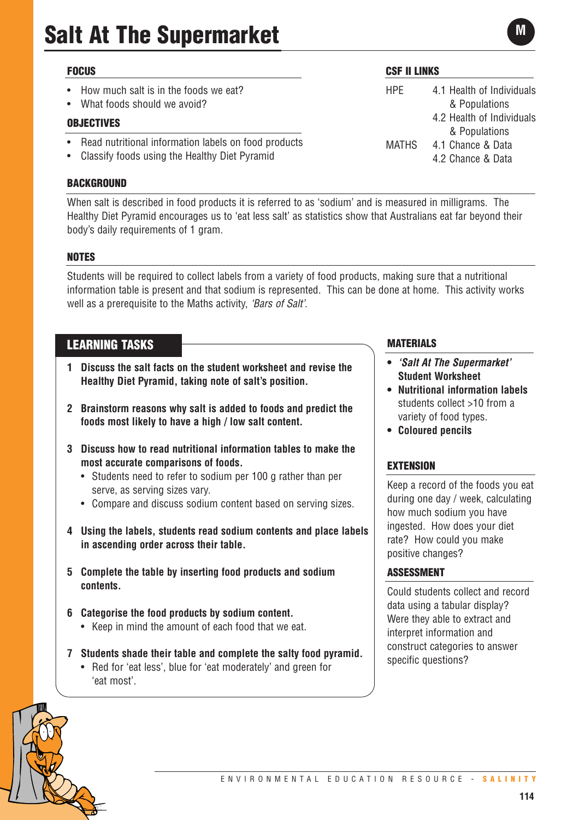# **Salt At The Supermarket**

## **FOCUS**

- How much salt is in the foods we eat?
- What foods should we avoid?

## **OBJECTIVES**

- Read nutritional information labels on food products
- Classify foods using the Healthy Diet Pyramid

#### **BACKGROUND**

When salt is described in food products it is referred to as 'sodium' and is measured in milligrams. The Healthy Diet Pyramid encourages us to 'eat less salt' as statistics show that Australians eat far beyond their body's daily requirements of 1 gram.

## **NOTES**

Students will be required to collect labels from a variety of food products, making sure that a nutritional information table is present and that sodium is represented. This can be done at home. This activity works well as a prerequisite to the Maths activity, *'Bars of Salt'*.

## **LEARNING TASKS**

- **1 Discuss the salt facts on the student worksheet and revise the Healthy Diet Pyramid, taking note of salt's position.**
- **2 Brainstorm reasons why salt is added to foods and predict the foods most likely to have a high / low salt content.**
- **3 Discuss how to read nutritional information tables to make the most accurate comparisons of foods.** 
	- Students need to refer to sodium per 100 g rather than per serve, as serving sizes vary.
	- Compare and discuss sodium content based on serving sizes.
- **4 Using the labels, students read sodium contents and place labels in ascending order across their table.**
- **5 Complete the table by inserting food products and sodium contents.**
- **6 Categorise the food products by sodium content.**  • Keep in mind the amount of each food that we eat.
- **7 Students shade their table and complete the salty food pyramid.** 
	- Red for 'eat less', blue for 'eat moderately' and green for 'eat most'.

## **CSF II LINKS**

HPE 4.1 Health of Individuals & Populations 4.2 Health of Individuals & Populations MATHS 4.1 Chance & Data 4.2 Chance & Data

## **MATERIALS**

- **•** *'Salt At The Supermarket'* **Student Worksheet**
- **• Nutritional information labels** students collect >10 from a variety of food types.
- **• Coloured pencils**

## **EXTENSION**

Keep a record of the foods you eat during one day / week, calculating how much sodium you have ingested. How does your diet rate? How could you make positive changes?

## **ASSESSMENT**

Could students collect and record data using a tabular display? Were they able to extract and interpret information and construct categories to answer specific questions?

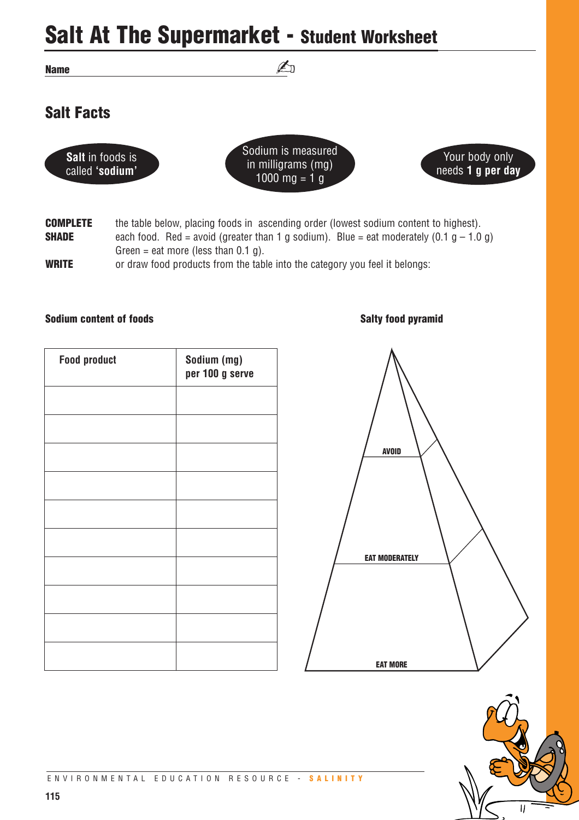# **Salt At The Supermarket - Student Worksheet**

**Name**

## **Salt Facts**





 $\mathbb{Z}_1$ 



**COMPLETE** the table below, placing foods in ascending order (lowest sodium content to highest). **SHADE** each food. Red = avoid (greater than 1 g sodium). Blue = eat moderately  $(0.1 g - 1.0 g)$ Green = eat more (less than  $0.1$  g).

**WRITE** or draw food products from the table into the category you feel it belongs:

## **Sodium content of foods** Salty food pyramid **Salty food pyramid**

| <b>Food product</b> | Sodium (mg)<br>per 100 g serve |
|---------------------|--------------------------------|
|                     |                                |
|                     |                                |
|                     |                                |
|                     |                                |
|                     |                                |
|                     |                                |
|                     |                                |
|                     |                                |
|                     |                                |
|                     |                                |

# **AVOID EAT MODERATELY EAT MORE**

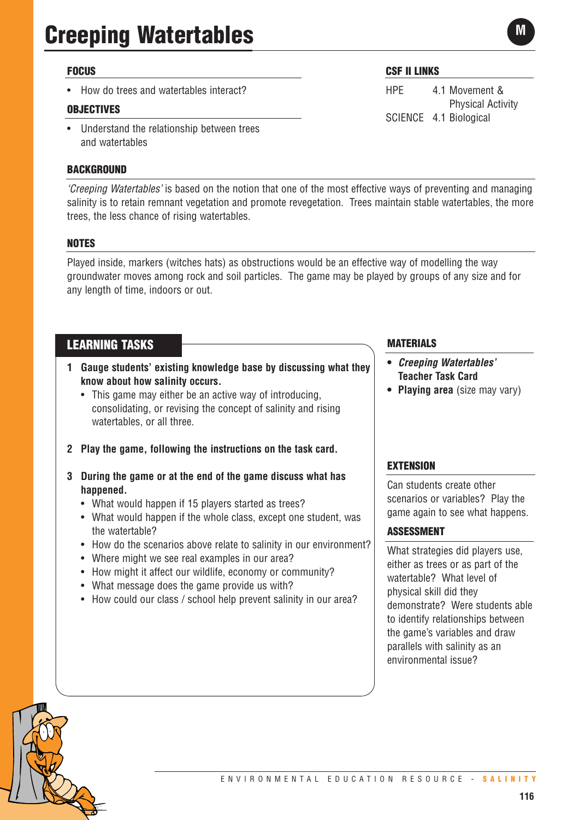## **FOCUS**

• How do trees and watertables interact?

## **OBJECTIVES**

• Understand the relationship between trees and watertables

## **BACKGROUND**

**CSF II LINKS**

HPE 4.1 Movement & Physical Activity SCIENCE 4.1 Biological

**M**

*'Creeping Watertables'* is based on the notion that one of the most effective ways of preventing and managing salinity is to retain remnant vegetation and promote revegetation. Trees maintain stable watertables, the more trees, the less chance of rising watertables.

## **NOTES**

Played inside, markers (witches hats) as obstructions would be an effective way of modelling the way groundwater moves among rock and soil particles. The game may be played by groups of any size and for any length of time, indoors or out.

## **LEARNING TASKS**

- **1 Gauge students' existing knowledge base by discussing what they know about how salinity occurs.** 
	- This game may either be an active way of introducing, consolidating, or revising the concept of salinity and rising watertables, or all three.
- **2 Play the game, following the instructions on the task card.**
- **3 During the game or at the end of the game discuss what has happened.** 
	- What would happen if 15 players started as trees?
	- What would happen if the whole class, except one student, was the watertable?
	- How do the scenarios above relate to salinity in our environment?
	- Where might we see real examples in our area?
	- How might it affect our wildlife, economy or community?
	- What message does the game provide us with?
	- How could our class / school help prevent salinity in our area?

## **MATERIALS**

- **•** *Creeping Watertables'*  **Teacher Task Card**
- **• Playing area** (size may vary)

## **EXTENSION**

Can students create other scenarios or variables? Play the game again to see what happens.

## **ASSESSMENT**

What strategies did players use, either as trees or as part of the watertable? What level of physical skill did they demonstrate? Were students able to identify relationships between the game's variables and draw parallels with salinity as an environmental issue?

ENVIRONMENTAL EDUCATION RESOURCE - **SALINITY**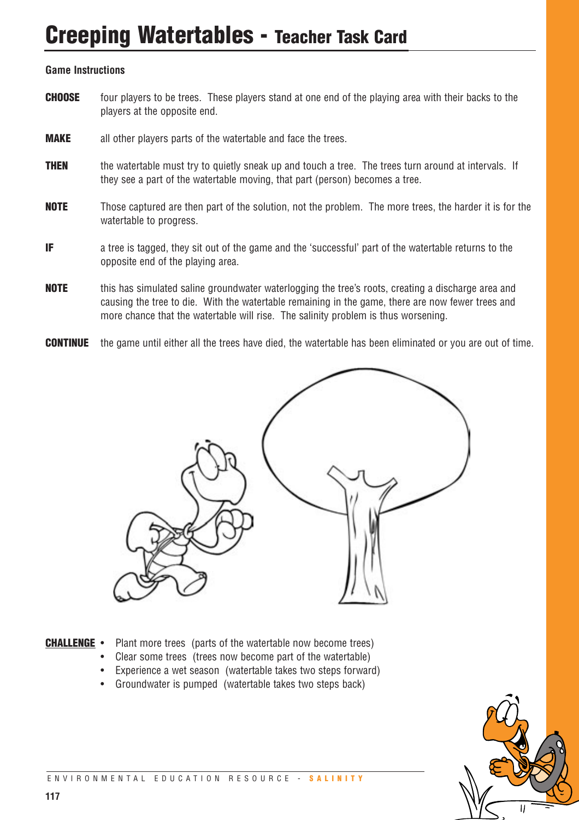## **Creeping Watertables - Teacher Task Card**

## **Game Instructions**

- **CHOOSE** four players to be trees. These players stand at one end of the playing area with their backs to the players at the opposite end.
- **MAKE** all other players parts of the watertable and face the trees.
- **THEN** the watertable must try to quietly sneak up and touch a tree. The trees turn around at intervals. If they see a part of the watertable moving, that part (person) becomes a tree.
- **NOTE** Those captured are then part of the solution, not the problem. The more trees, the harder it is for the watertable to progress.
- **IF** a tree is tagged, they sit out of the game and the 'successful' part of the watertable returns to the opposite end of the playing area.
- **NOTE** this has simulated saline groundwater waterlogging the tree's roots, creating a discharge area and causing the tree to die. With the watertable remaining in the game, there are now fewer trees and more chance that the watertable will rise. The salinity problem is thus worsening.
- **CONTINUE** the game until either all the trees have died, the watertable has been eliminated or you are out of time.



- **CHALLENGE** Plant more trees (parts of the watertable now become trees)
	- Clear some trees (trees now become part of the watertable)
	- Experience a wet season (watertable takes two steps forward)
	- Groundwater is pumped (watertable takes two steps back)

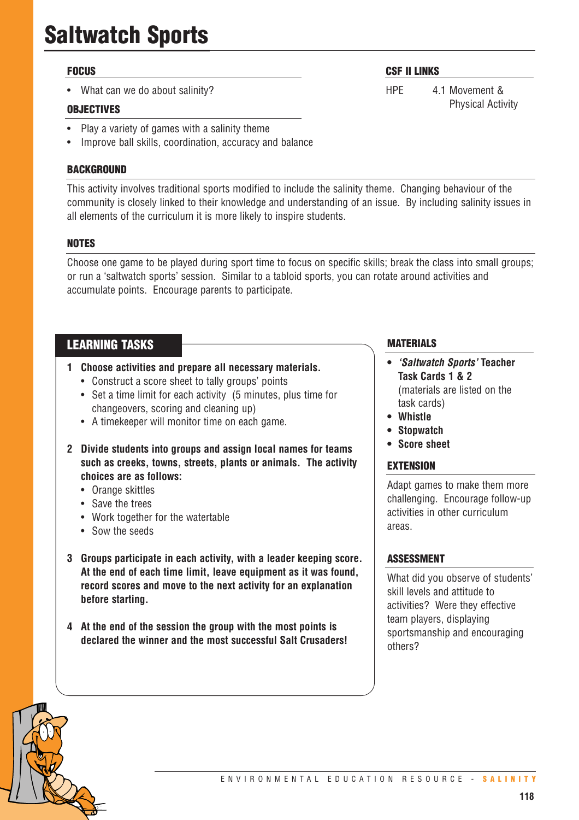# **Saltwatch Sports**

## **FOCUS**

What can we do about salinity?

## **OBJECTIVES**

- Play a variety of games with a salinity theme
- Improve ball skills, coordination, accuracy and balance

## **BACKGROUND**

This activity involves traditional sports modified to include the salinity theme. Changing behaviour of the community is closely linked to their knowledge and understanding of an issue. By including salinity issues in all elements of the curriculum it is more likely to inspire students.

## **NOTES**

Choose one game to be played during sport time to focus on specific skills; break the class into small groups; or run a 'saltwatch sports' session. Similar to a tabloid sports, you can rotate around activities and accumulate points. Encourage parents to participate.

## **LEARNING TASKS**

- **1 Choose activities and prepare all necessary materials.**
	- Construct a score sheet to tally groups' points
	- Set a time limit for each activity (5 minutes, plus time for changeovers, scoring and cleaning up)
	- A timekeeper will monitor time on each game.
- **2 Divide students into groups and assign local names for teams such as creeks, towns, streets, plants or animals. The activity choices are as follows:** 
	- Orange skittles
	- Save the trees
	- Work together for the watertable
	- Sow the seeds
- **3 Groups participate in each activity, with a leader keeping score. At the end of each time limit, leave equipment as it was found, record scores and move to the next activity for an explanation before starting.**
- **4 At the end of the session the group with the most points is declared the winner and the most successful Salt Crusaders!**

## **MATERIALS**

**CSF II LINKS**

HPE 4.1 Movement &

Physical Activity

- **•** *'Saltwatch Sports'* **Teacher Task Cards 1 & 2** (materials are listed on the task cards)
- **Whistle**
- **• Stopwatch**
- **Score sheet**

## **EXTENSION**

Adapt games to make them more challenging. Encourage follow-up activities in other curriculum areas.

## **ASSESSMENT**

What did you observe of students' skill levels and attitude to activities? Were they effective team players, displaying sportsmanship and encouraging others?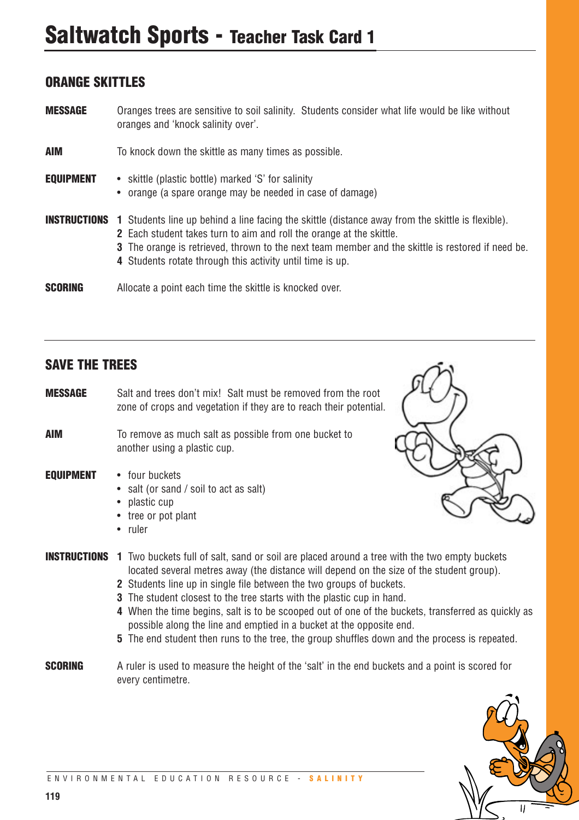## **Saltwatch Sports - Teacher Task Card 1**

## **ORANGE SKITTLES**

**MESSAGE** Oranges trees are sensitive to soil salinity. Students consider what life would be like without oranges and 'knock salinity over'.

| AIM              | To knock down the skittle as many times as possible.                                                                                                                                                                                                                                                                                                                   |
|------------------|------------------------------------------------------------------------------------------------------------------------------------------------------------------------------------------------------------------------------------------------------------------------------------------------------------------------------------------------------------------------|
| <b>EQUIPMENT</b> | • skittle (plastic bottle) marked 'S' for salinity<br>• orange (a spare orange may be needed in case of damage)                                                                                                                                                                                                                                                        |
|                  | <b>INSTRUCTIONS</b> 1 Students line up behind a line facing the skittle (distance away from the skittle is flexible).<br><b>2</b> Each student takes turn to aim and roll the orange at the skittle.<br>3 The orange is retrieved, thrown to the next team member and the skittle is restored if need be.<br>4 Students rotate through this activity until time is up. |
| SCORING          | Allocate a point each time the skittle is knocked over.                                                                                                                                                                                                                                                                                                                |

## **SAVE THE TREES**

**MESSAGE** Salt and trees don't mix! Salt must be removed from the root zone of crops and vegetation if they are to reach their potential.

**AIM** To remove as much salt as possible from one bucket to another using a plastic cup.

## **EQUIPMENT** • four buckets

- salt (or sand / soil to act as salt)
- plastic cup
- tree or pot plant
- ruler



- **INSTRUCTIONS 1** Two buckets full of salt, sand or soil are placed around a tree with the two empty buckets located several metres away (the distance will depend on the size of the student group).
	- **2** Students line up in single file between the two groups of buckets.
	- **3** The student closest to the tree starts with the plastic cup in hand.
	- **4** When the time begins, salt is to be scooped out of one of the buckets, transferred as quickly as possible along the line and emptied in a bucket at the opposite end.
	- **5** The end student then runs to the tree, the group shuffles down and the process is repeated.
- **SCORING** A ruler is used to measure the height of the 'salt' in the end buckets and a point is scored for every centimetre.